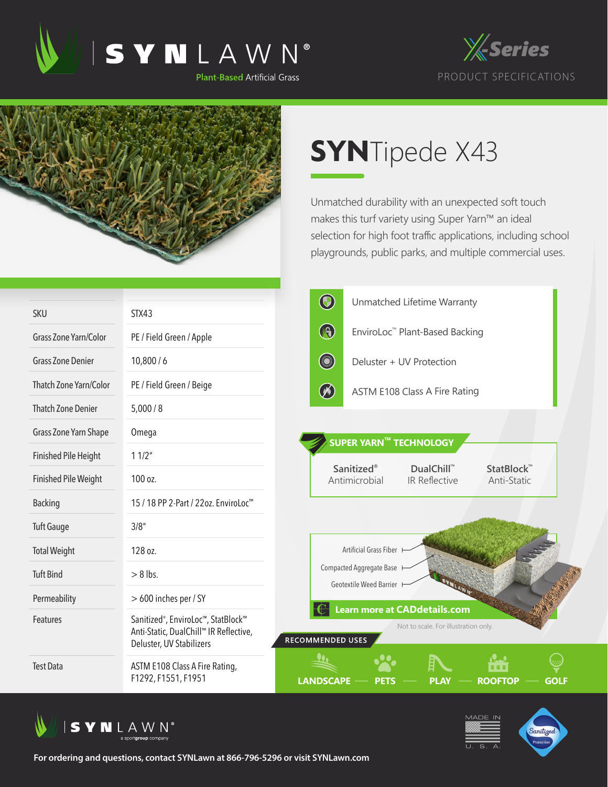





## **SYN**Tipede X43

Unmatched durability with an unexpected soft touch makes this turf variety using Super Yarn™ an ideal selection for high foot traffic applications, including school playgrounds, public parks, and multiple commercial uses.

|                             |                                                                                                                       | $\bigcirc$<br>Unmatched Lifetime Warranty                                                                         |
|-----------------------------|-----------------------------------------------------------------------------------------------------------------------|-------------------------------------------------------------------------------------------------------------------|
| <b>SKU</b>                  | STX43                                                                                                                 | G<br>EnviroLoc <sup>™</sup> Plant-Based Backing                                                                   |
| Grass Zone Yarn/Color       | PE / Field Green / Apple                                                                                              |                                                                                                                   |
| <b>Grass Zone Denier</b>    | 10,800/6                                                                                                              | <b>County</b><br>Deluster + UV Protection                                                                         |
| Thatch Zone Yarn/Color      | PE / Field Green / Beige                                                                                              | $\circledast$<br><b>ASTM E108 Class A Fire Rating</b>                                                             |
| <b>Thatch Zone Denier</b>   | 5,000/8                                                                                                               |                                                                                                                   |
| Grass Zone Yarn Shape       | Omega                                                                                                                 | SUPER YARN™ TECHNOLOGY                                                                                            |
| <b>Finished Pile Height</b> | 11/2"                                                                                                                 |                                                                                                                   |
| <b>Finished Pile Weight</b> | 100 oz.                                                                                                               | <b>Sanitized®</b><br>StatBlock <sup>™</sup><br>DualChill™<br>Antimicrobial<br><b>IR Reflective</b><br>Anti-Static |
| <b>Backing</b>              | 15 / 18 PP 2-Part / 22oz. EnviroLoc <sup>™</sup>                                                                      |                                                                                                                   |
| <b>Tuft Gauge</b>           | 3/8''                                                                                                                 |                                                                                                                   |
| <b>Total Weight</b>         | 128 oz.                                                                                                               | Artificial Grass Fiber                                                                                            |
| <b>Tuft Bind</b>            | $> 8$ lbs.                                                                                                            | Compacted Aggregate Base<br>Geotextile Weed Barrier                                                               |
| Permeability                | > 600 inches per / SY                                                                                                 |                                                                                                                   |
| Features                    | Sanitized <sup>®</sup> , EnviroLoc™, StatBlock™<br>Anti-Static, DualChill™ IR Reflective,<br>Deluster, UV Stabilizers | <b>Learn more at CADdetails.com</b><br>Not to scale. For illustration only.<br>RECOMMENDED USES                   |
| <b>Test Data</b>            | ASTM E108 Class A Fire Rating,<br>F1292, F1551, F1951                                                                 | <b>ROOFTOP</b><br><b>LANDSCAPE</b><br><b>GOLF</b>                                                                 |



**For ordering and questions, contact SYNLawn at 866-796-5296 or visit SYNLawn.com**